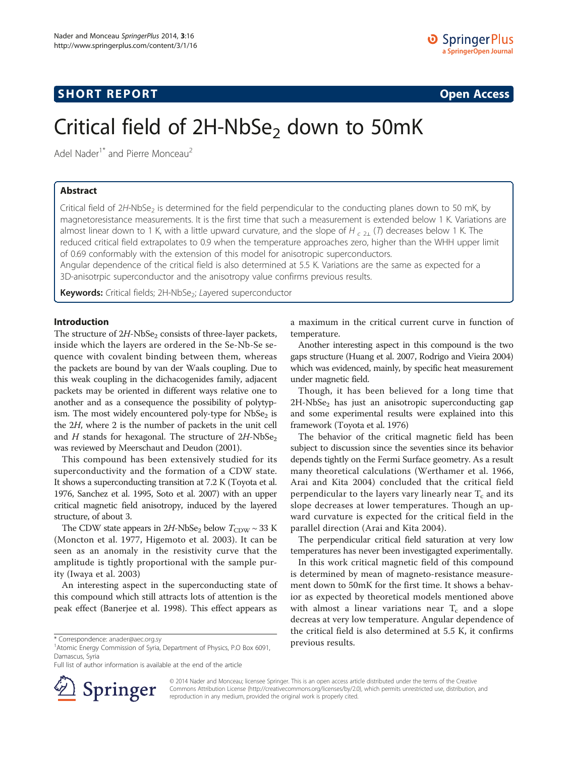# **SHORT REPORT SHORT CONSTRUCTED AT A SEXUAL CONSTRUCT OF A SEXUAL CONSTRUCTION OPEN Access**

# Critical field of 2H-NbSe<sub>2</sub> down to 50mK

Adel Nader<sup>1\*</sup> and Pierre Monceau<sup>2</sup>

# Abstract

Critical field of  $2H$ -NbSe<sub>2</sub> is determined for the field perpendicular to the conducting planes down to 50 mK, by magnetoresistance measurements. It is the first time that such a measurement is extended below 1 K. Variations are almost linear down to 1 K, with a little upward curvature, and the slope of H  $_{c,2}$  (T) decreases below 1 K. The reduced critical field extrapolates to 0.9 when the temperature approaches zero, higher than the WHH upper limit of 0.69 conformably with the extension of this model for anisotropic superconductors.

Angular dependence of the critical field is also determined at 5.5 K. Variations are the same as expected for a 3D-anisotrpic superconductor and the anisotropy value confirms previous results.

Keywords: Critical fields; 2H-NbSe<sub>2</sub>; Layered superconductor

## Introduction

The structure of  $2H$ -NbSe<sub>2</sub> consists of three-layer packets, inside which the layers are ordered in the Se-Nb-Se sequence with covalent binding between them, whereas the packets are bound by van der Waals coupling. Due to this weak coupling in the dichacogenides family, adjacent packets may be oriented in different ways relative one to another and as a consequence the possibility of polytypism. The most widely encountered poly-type for  $NbSe<sub>2</sub>$  is the 2H, where 2 is the number of packets in the unit cell and H stands for hexagonal. The structure of  $2H\text{-}NbSe_2$ was reviewed by Meerschaut and Deudon [\(2001](#page-4-0)).

This compound has been extensively studied for its superconductivity and the formation of a CDW state. It shows a superconducting transition at 7.2 K (Toyota et al. [1976,](#page-4-0) Sanchez et al. [1995](#page-4-0), Soto et al. [2007](#page-4-0)) with an upper critical magnetic field anisotropy, induced by the layered structure, of about 3.

The CDW state appears in  $2H$ -NbSe<sub>2</sub> below  $T_{CDW} \sim 33$  K (Moncton et al. [1977](#page-4-0), Higemoto et al. [2003](#page-3-0)). It can be seen as an anomaly in the resistivity curve that the amplitude is tightly proportional with the sample purity (Iwaya et al. [2003](#page-3-0))

An interesting aspect in the superconducting state of this compound which still attracts lots of attention is the peak effect (Banerjee et al. [1998\)](#page-3-0). This effect appears as

Full list of author information is available at the end of the article



a maximum in the critical current curve in function of temperature.

Another interesting aspect in this compound is the two gaps structure (Huang et al. [2007,](#page-3-0) Rodrigo and Vieira [2004](#page-4-0)) which was evidenced, mainly, by specific heat measurement under magnetic field.

Though, it has been believed for a long time that  $2H\text{-}NbSe<sub>2</sub>$  has just an anisotropic superconducting gap and some experimental results were explained into this framework (Toyota et al. [1976](#page-4-0))

The behavior of the critical magnetic field has been subject to discussion since the seventies since its behavior depends tightly on the Fermi Surface geometry. As a result many theoretical calculations (Werthamer et al. [1966](#page-4-0), Arai and Kita [2004](#page-3-0)) concluded that the critical field perpendicular to the layers vary linearly near  $T_c$  and its slope decreases at lower temperatures. Though an upward curvature is expected for the critical field in the parallel direction (Arai and Kita [2004\)](#page-3-0).

The perpendicular critical field saturation at very low temperatures has never been investigagted experimentally.

In this work critical magnetic field of this compound is determined by mean of magneto-resistance measurement down to 50mK for the first time. It shows a behavior as expected by theoretical models mentioned above with almost a linear variations near  $T_c$  and a slope decreas at very low temperature. Angular dependence of the critical field is also determined at 5.5 K, it confirms

© 2014 Nader and Monceau; licensee Springer. This is an open access article distributed under the terms of the Creative Commons Attribution License (<http://creativecommons.org/licenses/by/2.0>), which permits unrestricted use, distribution, and reproduction in any medium, provided the original work is properly cited.

<sup>\*</sup> Correspondence: [anader@aec.org.sy](mailto:anader@aec.org.sy)<br><sup>1</sup>Atomic Energy Commission of Syria, Department of Physics, P.O Box 6091, **Previous results.** Damascus, Syria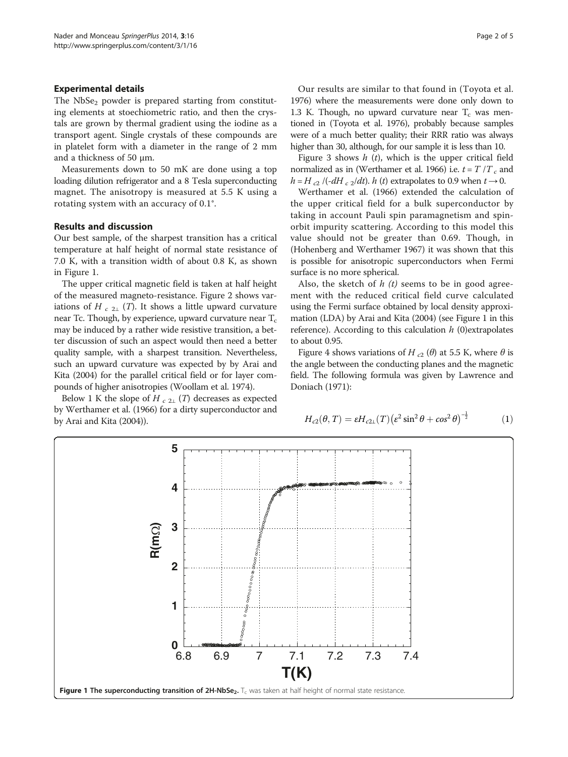## Experimental details

The  $NbSe<sub>2</sub>$  powder is prepared starting from constituting elements at stoechiometric ratio, and then the crystals are grown by thermal gradient using the iodine as a transport agent. Single crystals of these compounds are in platelet form with a diameter in the range of 2 mm and a thickness of 50 μm.

Measurements down to 50 mK are done using a top loading dilution refrigerator and a 8 Tesla superconducting magnet. The anisotropy is measured at 5.5 K using a rotating system with an accuracy of 0.1°.

# Results and discussion

Our best sample, of the sharpest transition has a critical temperature at half height of normal state resistance of 7.0 K, with a transition width of about 0.8 K, as shown in Figure 1.

The upper critical magnetic field is taken at half height of the measured magneto-resistance. Figure [2](#page-2-0) shows variations of H  $_{c,21}$  (T). It shows a little upward curvature near Tc. Though, by experience, upward curvature near  $T_c$ may be induced by a rather wide resistive transition, a better discussion of such an aspect would then need a better quality sample, with a sharpest transition. Nevertheless, such an upward curvature was expected by by Arai and Kita ([2004\)](#page-3-0) for the parallel critical field or for layer compounds of higher anisotropies (Woollam et al. [1974](#page-4-0)).

Below 1 K the slope of H  $_{c,2\perp}$  (T) decreases as expected by Werthamer et al. ([1966\)](#page-4-0) for a dirty superconductor and by Arai and Kita [\(2004](#page-3-0))).

Our results are similar to that found in (Toyota et al. 1976) where the measurements were done only down to 1.3 K. Though, no upward curvature near  $T_c$  was mentioned in (Toyota et al. 1976), probably because samples were of a much better quality; their RRR ratio was always higher than 30, although, for our sample it is less than 10.

Figure [3](#page-2-0) shows  $h(t)$ , which is the upper critical field normalized as in (Werthamer et al. [1966](#page-4-0)) i.e.  $t = T / T_c$  and  $h = H_{c2} / (-dH_{c2}/dt)$ . h (t) extrapolates to 0.9 when  $t \rightarrow 0$ .

Werthamer et al. [\(1966\)](#page-4-0) extended the calculation of the upper critical field for a bulk superconductor by taking in account Pauli spin paramagnetism and spinorbit impurity scattering. According to this model this value should not be greater than 0.69. Though, in (Hohenberg and Werthamer [1967\)](#page-3-0) it was shown that this is possible for anisotropic superconductors when Fermi surface is no more spherical.

Also, the sketch of  $h(t)$  seems to be in good agreement with the reduced critical field curve calculated using the Fermi surface obtained by local density approximation (LDA) by Arai and Kita [\(2004](#page-3-0)) (see Figure 1 in this reference). According to this calculation  $h$  (0) extrapolates to about 0.95.

Figure [4](#page-3-0) shows variations of H  $_{c2}$  ( $\theta$ ) at 5.5 K, where  $\theta$  is the angle between the conducting planes and the magnetic field. The following formula was given by Lawrence and Doniach [\(1971](#page-3-0)):

$$
H_{c2}(\theta, T) = \varepsilon H_{c2\perp}(T) \left(\varepsilon^2 \sin^2 \theta + \cos^2 \theta\right)^{-\frac{1}{2}} \tag{1}
$$

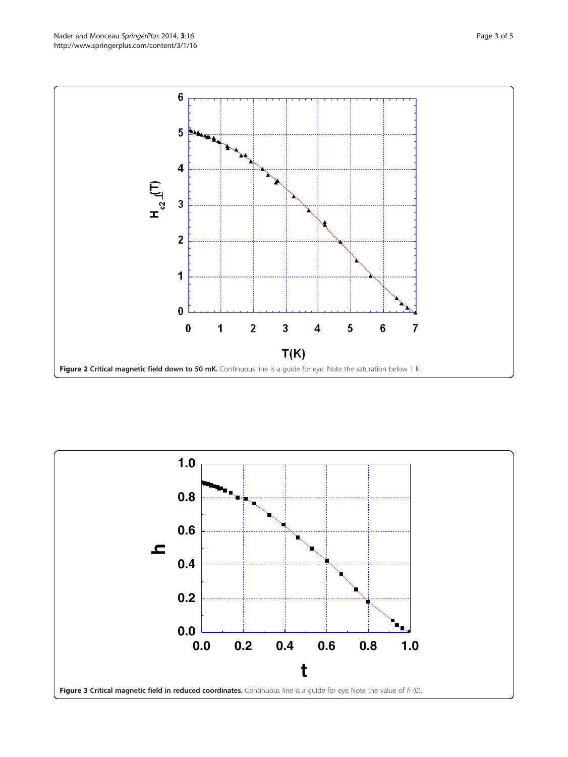<span id="page-2-0"></span>

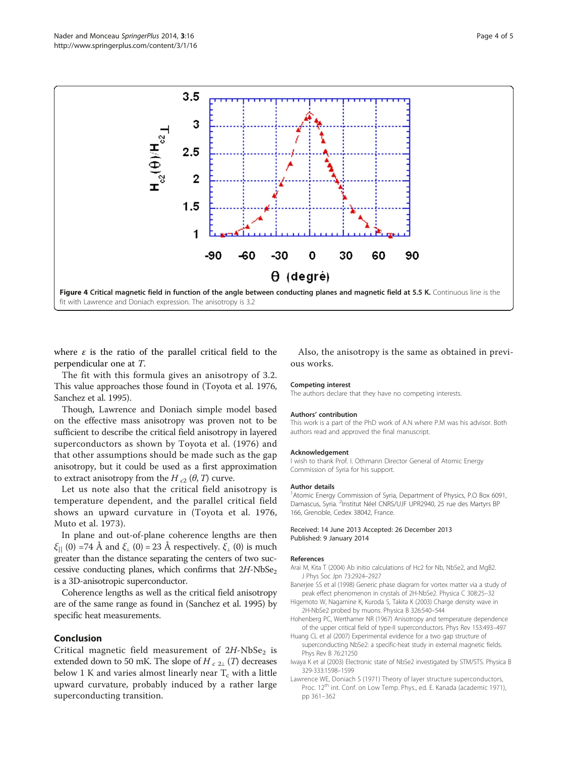<span id="page-3-0"></span>

where  $\varepsilon$  is the ratio of the parallel critical field to the perpendicular one at T.

The fit with this formula gives an anisotropy of 3.2. This value approaches those found in (Toyota et al. [1976](#page-4-0), Sanchez et al. [1995\)](#page-4-0).

Though, Lawrence and Doniach simple model based on the effective mass anisotropy was proven not to be sufficient to describe the critical field anisotropy in layered superconductors as shown by Toyota et al. ([1976](#page-4-0)) and that other assumptions should be made such as the gap anisotropy, but it could be used as a first approximation to extract anisotropy from the H  $_{c2}$  ( $\theta$ , T) curve.

Let us note also that the critical field anisotropy is temperature dependent, and the parallel critical field shows an upward curvature in (Toyota et al. [1976](#page-4-0), Muto et al. [1973](#page-4-0)).

In plane and out-of-plane coherence lengths are then  $\xi_{\parallel}$  (0) =74 Å and  $\xi_{\perp}$  (0) = 23 Å respectively.  $\xi_{\perp}$  (0) is much greater than the distance separating the centers of two successive conducting planes, which confirms that  $2H\text{-}NbSe_2$ is a 3D-anisotropic superconductor.

Coherence lengths as well as the critical field anisotropy are of the same range as found in (Sanchez et al. [1995](#page-4-0)) by specific heat measurements.

## Conclusion

Critical magnetic field measurement of  $2H\text{-}NbSe_2$  is extended down to 50 mK. The slope of  $H_{c,2\perp}(T)$  decreases below 1 K and varies almost linearly near  $T_c$  with a little upward curvature, probably induced by a rather large superconducting transition.

Also, the anisotropy is the same as obtained in previous works.

#### Competing interest

The authors declare that they have no competing interests.

#### Authors' contribution

This work is a part of the PhD work of A.N where P.M was his advisor. Both authors read and approved the final manuscript.

#### Acknowledgement

I wish to thank Prof. I. Othmann Director General of Atomic Energy Commission of Syria for his support.

#### Author details

<sup>1</sup> Atomic Energy Commission of Syria, Department of Physics, P.O Box 6091, Damascus, Syria. <sup>2</sup>Institut Néel CNRS/UJF UPR2940, 25 rue des Martyrs BP 166, Grenoble, Cedex 38042, France.

#### Received: 14 June 2013 Accepted: 26 December 2013 Published: 9 January 2014

#### References

- Arai M, Kita T (2004) Ab initio calculations of Hc2 for Nb, NbSe2, and MgB2. J Phys Soc Jpn 73:2924–2927
- Banerjee SS et al (1998) Generic phase diagram for vortex matter via a study of peak effect phenomenon in crystals of 2H-NbSe2. Physica C 308:25–32
- Higemoto W, Nagamine K, Kuroda S, Takita K (2003) Charge density wave in 2H-NbSe2 probed by muons. Physica B 326:540–544
- Hohenberg PC, Werthamer NR (1967) Anisotropy and temperature dependence of the upper critical field of type-II superconductors. Phys Rev 153:493–497
- Huang CL et al (2007) Experimental evidence for a two gap structure of superconducting NbSe2: a specific-heat study in external magnetic fields. Phys Rev B 76:21250
- Iwaya K et al (2003) Electronic state of NbSe2 investigated by STM/STS. Physica B 329-333:1598–1599
- Lawrence WE, Doniach S (1971) Theory of layer structure superconductors, Proc. 12<sup>th</sup> int. Conf. on Low Temp. Phys., ed. E. Kanada (academic 1971), pp 361–362